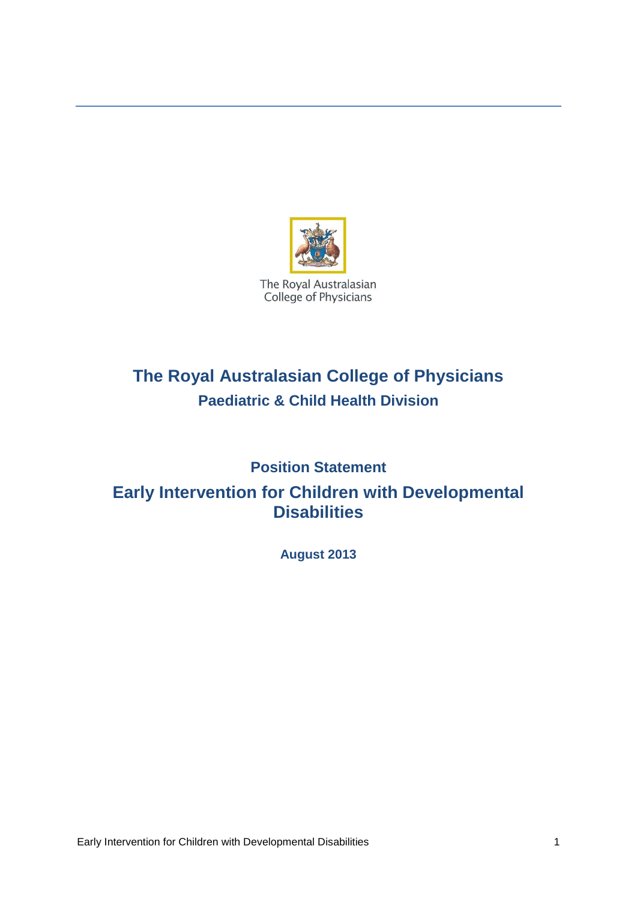

# **The Royal Australasian College of Physicians Paediatric & Child Health Division**

## **Position Statement**

## **Early Intervention for Children with Developmental Disabilities**

**August 2013**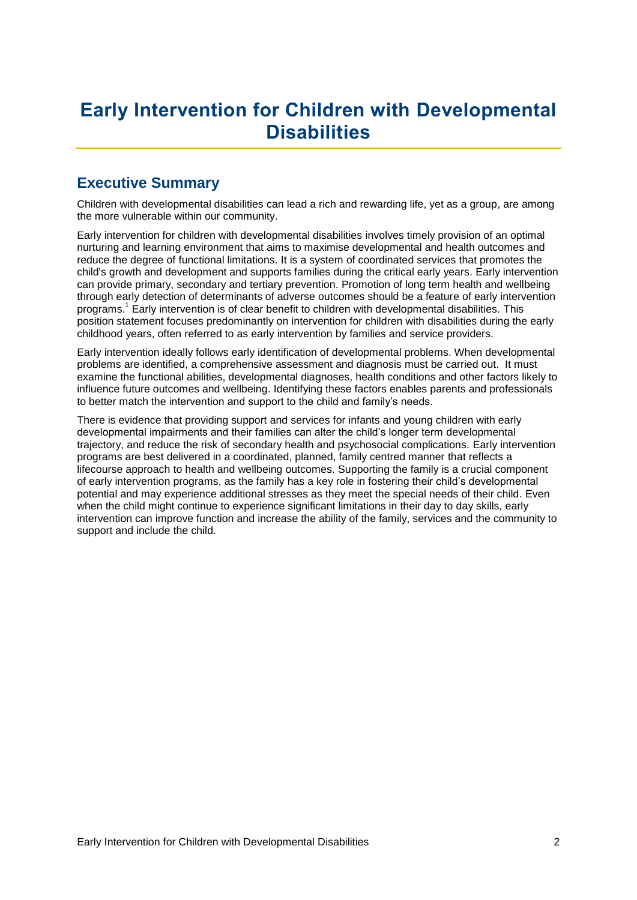# **Early Intervention for Children with Developmental Disabilities**

### **Executive Summary**

Children with developmental disabilities can lead a rich and rewarding life, yet as a group, are among the more vulnerable within our community.

Early intervention for children with developmental disabilities involves timely provision of an optimal nurturing and learning environment that aims to maximise developmental and health outcomes and reduce the degree of functional limitations. It is a system of coordinated services that promotes the child's growth and development and supports families during the critical early years. Early intervention can provide primary, secondary and tertiary prevention. Promotion of long term health and wellbeing through early detection of determinants of adverse outcomes should be a feature of early intervention programs.<sup>1</sup> Early intervention is of clear benefit to children with developmental disabilities. This position statement focuses predominantly on intervention for children with disabilities during the early childhood years, often referred to as early intervention by families and service providers.

Early intervention ideally follows early identification of developmental problems. When developmental problems are identified, a comprehensive assessment and diagnosis must be carried out. It must examine the functional abilities, developmental diagnoses, health conditions and other factors likely to influence future outcomes and wellbeing. Identifying these factors enables parents and professionals to better match the intervention and support to the child and family's needs.

There is evidence that providing support and services for infants and young children with early developmental impairments and their families can alter the child's longer term developmental trajectory, and reduce the risk of secondary health and psychosocial complications. Early intervention programs are best delivered in a coordinated, planned, family centred manner that reflects a lifecourse approach to health and wellbeing outcomes. Supporting the family is a crucial component of early intervention programs, as the family has a key role in fostering their child's developmental potential and may experience additional stresses as they meet the special needs of their child. Even when the child might continue to experience significant limitations in their day to day skills, early intervention can improve function and increase the ability of the family, services and the community to support and include the child.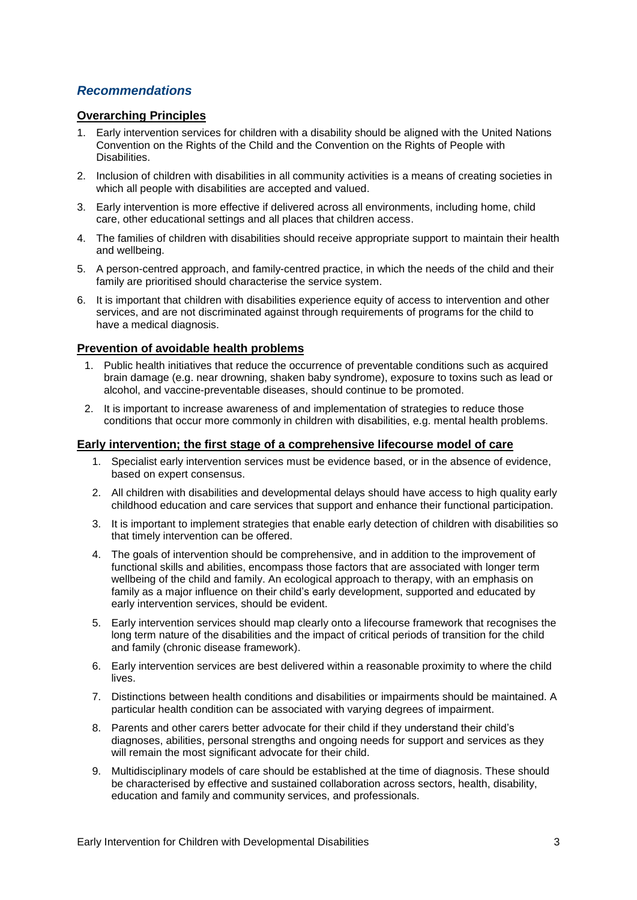#### *Recommendations*

#### **Overarching Principles**

- 1. Early intervention services for children with a disability should be aligned with the United Nations Convention on the Rights of the Child and the Convention on the Rights of People with Disabilities.
- 2. Inclusion of children with disabilities in all community activities is a means of creating societies in which all people with disabilities are accepted and valued.
- 3. Early intervention is more effective if delivered across all environments, including home, child care, other educational settings and all places that children access.
- 4. The families of children with disabilities should receive appropriate support to maintain their health and wellbeing.
- 5. A person-centred approach, and family-centred practice, in which the needs of the child and their family are prioritised should characterise the service system.
- 6. It is important that children with disabilities experience equity of access to intervention and other services, and are not discriminated against through requirements of programs for the child to have a medical diagnosis.

#### **Prevention of avoidable health problems**

- 1. Public health initiatives that reduce the occurrence of preventable conditions such as acquired brain damage (e.g. near drowning, shaken baby syndrome), exposure to toxins such as lead or alcohol, and vaccine-preventable diseases, should continue to be promoted.
- 2. It is important to increase awareness of and implementation of strategies to reduce those conditions that occur more commonly in children with disabilities, e.g. mental health problems.

#### **Early intervention; the first stage of a comprehensive lifecourse model of care**

- 1. Specialist early intervention services must be evidence based, or in the absence of evidence, based on expert consensus.
- 2. All children with disabilities and developmental delays should have access to high quality early childhood education and care services that support and enhance their functional participation.
- 3. It is important to implement strategies that enable early detection of children with disabilities so that timely intervention can be offered.
- 4. The goals of intervention should be comprehensive, and in addition to the improvement of functional skills and abilities, encompass those factors that are associated with longer term wellbeing of the child and family. An ecological approach to therapy, with an emphasis on family as a major influence on their child's early development, supported and educated by early intervention services, should be evident.
- 5. Early intervention services should map clearly onto a lifecourse framework that recognises the long term nature of the disabilities and the impact of critical periods of transition for the child and family (chronic disease framework).
- 6. Early intervention services are best delivered within a reasonable proximity to where the child lives.
- 7. Distinctions between health conditions and disabilities or impairments should be maintained. A particular health condition can be associated with varying degrees of impairment.
- 8. Parents and other carers better advocate for their child if they understand their child's diagnoses, abilities, personal strengths and ongoing needs for support and services as they will remain the most significant advocate for their child.
- 9. Multidisciplinary models of care should be established at the time of diagnosis. These should be characterised by effective and sustained collaboration across sectors, health, disability, education and family and community services, and professionals.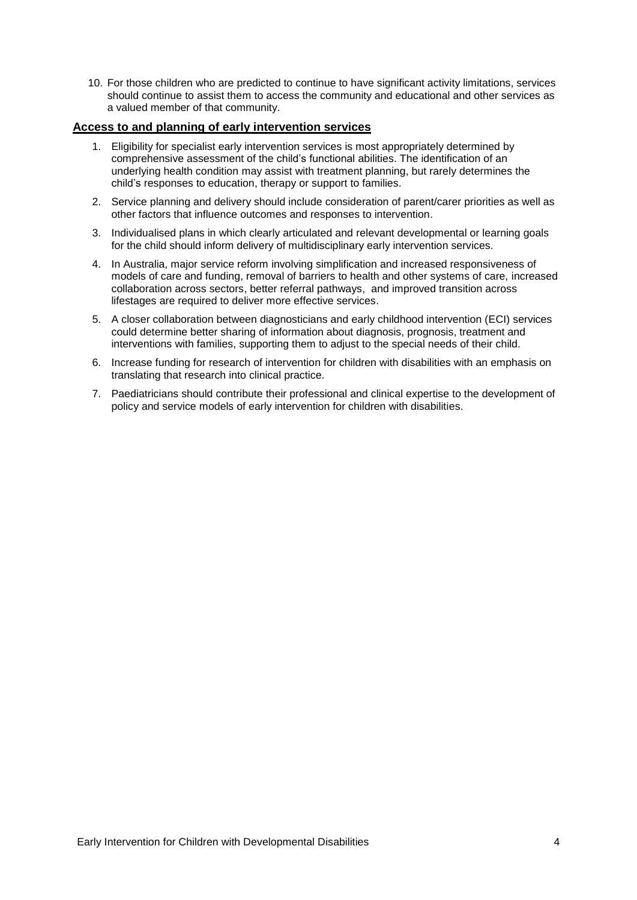10. For those children who are predicted to continue to have significant activity limitations, services should continue to assist them to access the community and educational and other services as a valued member of that community.

#### **Access to and planning of early intervention services**

- 1. Eligibility for specialist early intervention services is most appropriately determined by comprehensive assessment of the child's functional abilities. The identification of an underlying health condition may assist with treatment planning, but rarely determines the child's responses to education, therapy or support to families.
- 2. Service planning and delivery should include consideration of parent/carer priorities as well as other factors that influence outcomes and responses to intervention.
- 3. Individualised plans in which clearly articulated and relevant developmental or learning goals for the child should inform delivery of multidisciplinary early intervention services.
- 4. In Australia, major service reform involving simplification and increased responsiveness of models of care and funding, removal of barriers to health and other systems of care, increased collaboration across sectors, better referral pathways, and improved transition across lifestages are required to deliver more effective services.
- 5. A closer collaboration between diagnosticians and early childhood intervention (ECI) services could determine better sharing of information about diagnosis, prognosis, treatment and interventions with families, supporting them to adjust to the special needs of their child.
- 6. Increase funding for research of intervention for children with disabilities with an emphasis on translating that research into clinical practice.
- 7. Paediatricians should contribute their professional and clinical expertise to the development of policy and service models of early intervention for children with disabilities.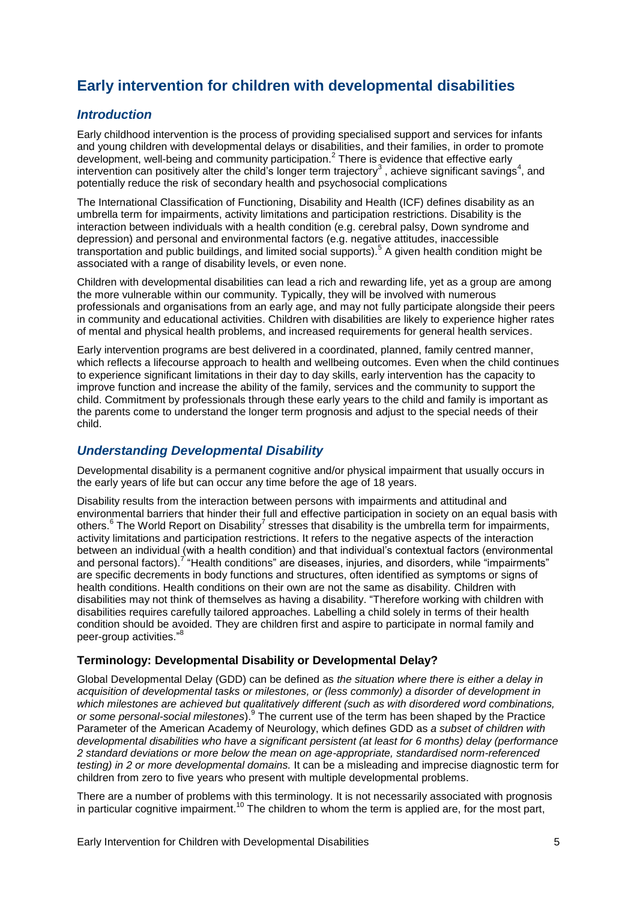## **Early intervention for children with developmental disabilities**

#### *Introduction*

Early childhood intervention is the process of providing specialised support and services for infants and young children with developmental delays or disabilities, and their families, in order to promote development, well-being and community participation. 2 There is evidence that effective early intervention can positively alter the child's longer term trajectory<sup>3</sup>, achieve significant savings<sup>4</sup>, and potentially reduce the risk of secondary health and psychosocial complications

<span id="page-4-1"></span>The International Classification of Functioning, Disability and Health (ICF) defines disability as an umbrella term for impairments, activity limitations and participation restrictions. Disability is the interaction between individuals with a health condition (e.g. cerebral palsy, Down syndrome and depression) and personal and environmental factors (e.g. negative attitudes, inaccessible transportation and public buildings, and limited social supports).<sup>5</sup> A given health condition might be associated with a range of disability levels, or even none.

Children with developmental disabilities can lead a rich and rewarding life, yet as a group are among the more vulnerable within our community. Typically, they will be involved with numerous professionals and organisations from an early age, and may not fully participate alongside their peers in community and educational activities. Children with disabilities are likely to experience higher rates of mental and physical health problems, and increased requirements for general health services.

Early intervention programs are best delivered in a coordinated, planned, family centred manner, which reflects a lifecourse approach to health and wellbeing outcomes. Even when the child continues to experience significant limitations in their day to day skills, early intervention has the capacity to improve function and increase the ability of the family, services and the community to support the child. Commitment by professionals through these early years to the child and family is important as the parents come to understand the longer term prognosis and adjust to the special needs of their child.

#### *Understanding Developmental Disability*

Developmental disability is a permanent cognitive and/or physical impairment that usually occurs in the early years of life but can occur any time before the age of 18 years.

<span id="page-4-2"></span><span id="page-4-0"></span>Disability results from the interaction between persons with impairments and attitudinal and environmental barriers that hinder their full and effective participation in society on an equal basis with others.<sup>6</sup> The World Report on Disabilit[y](#page-4-0)<sup>7</sup> stresses that disability is the umbrella term for impairments, activity limitations and participation restrictions. It refers to the negative aspects of the interaction between an individual (with a health condition) and that individual's contextual factors (environmental and personal factors).<sup>7</sup> "Health conditions" are diseases, injuries, and disorders, while "impairments" are specific decrements in body functions and structures, often identified as symptoms or signs of health conditions. Health conditions on their own are not the same as disability. Children with disabilities may not think of themselves as having a disability. "Therefore working with children with disabilities requires carefully tailored approaches. Labelling a child solely in terms of their health condition should be avoided. They are children first and aspire to participate in normal family and peer-group activities." 8

#### **Terminology: Developmental Disability or Developmental Delay?**

Global Developmental Delay (GDD) can be defined as *the situation where there is either a delay in acquisition of developmental tasks or milestones, or (less commonly) a disorder of development in which milestones are achieved but qualitatively different (such as with disordered word combinations,*  or some personal-social milestones).<sup>9</sup> The current use of the term has been shaped by the Practice Parameter of the American Academy of Neurology, which defines GDD as *a subset of children with developmental disabilities who have a significant persistent (at least for 6 months) delay (performance 2 standard deviations or more below the mean on age-appropriate, standardised norm-referenced testing) in 2 or more developmental domains.* It can be a misleading and imprecise diagnostic term for children from zero to five years who present with multiple developmental problems.

There are a number of problems with this terminology. It is not necessarily associated with prognosis in particular cognitive impairment.<sup>10</sup> The children to whom the term is applied are, for the most part,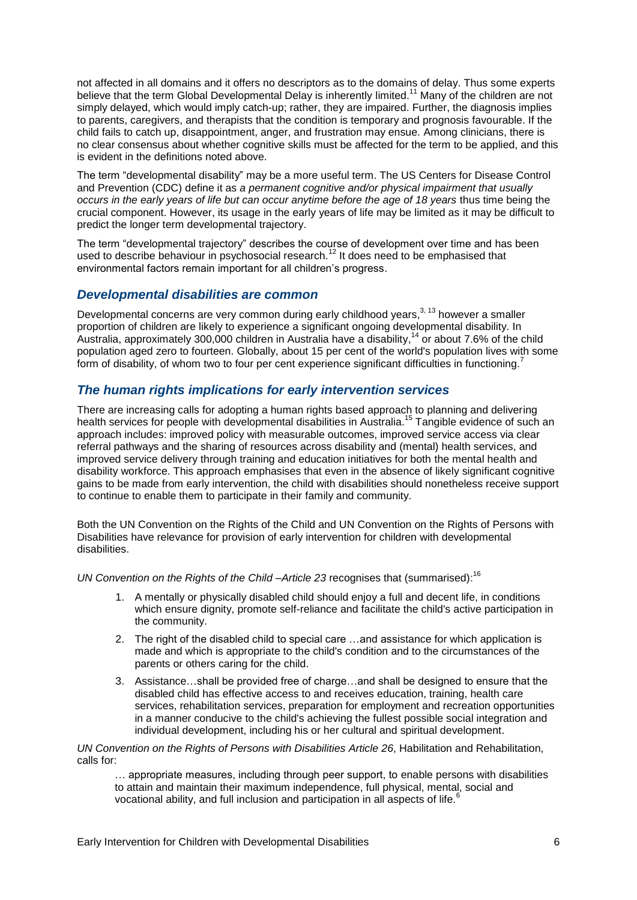not affected in all domains and it offers no descriptors as to the domains of delay. Thus some experts believe that the term Global Developmental Delay is inherently limited.<sup>11</sup> Many of the children are not simply delayed, which would imply catch-up; rather, they are impaired. Further, the diagnosis implies to parents, caregivers, and therapists that the condition is temporary and prognosis favourable. If the child fails to catch up, disappointment, anger, and frustration may ensue. Among clinicians, there is no clear consensus about whether cognitive skills must be affected for the term to be applied, and this is evident in the definitions noted above.

The term "developmental disability" may be a more useful term. The US Centers for Disease Control and Prevention (CDC) define it as *a permanent cognitive and/or physical impairment that usually occurs in the early years of life but can occur anytime before the age of 18 years* thus time being the crucial component. However, its usage in the early years of life may be limited as it may be difficult to predict the longer term developmental trajectory.

The term "developmental trajectory" describes the course of development over time and has been used to describe behaviour in psychosocial research.<sup>12</sup> It does need to be emphasised that environmental factors remain important for all children's progress.

#### *Developmental disabilities are common*

Developmental concerns are very common during early childhood years,<sup>[3,](#page-4-1) 13</sup> however a smaller proportion of children are likely to experience a significant ongoing developmental disability. In Australia, approximately 300,000 children in Australia have a disability,<sup>14</sup> or about 7.6% of the child population aged zero to fourteen. Globally, about 15 per cent of the world's population lives with some form of disability, of whom two to four per cent experience significant difficulties in functioning.<sup>[7](#page-4-0)</sup>

#### *The human rights implications for early intervention services*

There are increasing calls for adopting a human rights based approach to planning and delivering health services for people with developmental disabilities in Australia.<sup>15</sup> Tangible evidence of such an approach includes: improved policy with measurable outcomes, improved service access via clear referral pathways and the sharing of resources across disability and (mental) health services, and improved service delivery through training and education initiatives for both the mental health and disability workforce. This approach emphasises that even in the absence of likely significant cognitive gains to be made from early intervention, the child with disabilities should nonetheless receive support to continue to enable them to participate in their family and community.

Both the UN Convention on the Rights of the Child and UN Convention on the Rights of Persons with Disabilities have relevance for provision of early intervention for children with developmental disabilities.

UN Convention on the Rights of the Child - Article 23 recognises that (summarised):<sup>16</sup>

- 1. A mentally or physically disabled child should enjoy a full and decent life, in conditions which ensure dignity, promote self-reliance and facilitate the child's active participation in the community.
- 2. The right of the disabled child to special care …and assistance for which application is made and which is appropriate to the child's condition and to the circumstances of the parents or others caring for the child.
- 3. Assistance…shall be provided free of charge…and shall be designed to ensure that the disabled child has effective access to and receives education, training, health care services, rehabilitation services, preparation for employment and recreation opportunities in a manner conducive to the child's achieving the fullest possible social integration and individual development, including his or her cultural and spiritual development.

*UN Convention on the Rights of Persons with Disabilities Article 26*, Habilitation and Rehabilitation, calls for:

… appropriate measures, including through peer support, to enable persons with disabilities to attain and maintain their maximum independence, full physical, mental, social and vocational ability, and full inclusion and participation in all aspects of life[.](#page-4-2)<sup>6</sup>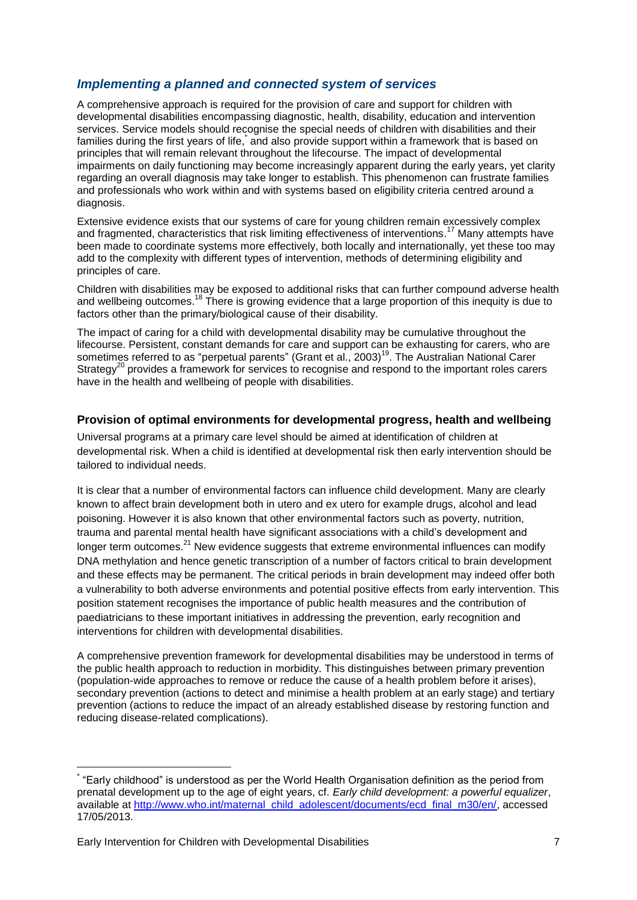#### *Implementing a planned and connected system of services*

A comprehensive approach is required for the provision of care and support for children with developmental disabilities encompassing diagnostic, health, disability, education and intervention services. Service models should recognise the special needs of children with disabilities and their families during the first years of life, and also provide support within a framework that is based on principles that will remain relevant throughout the lifecourse. The impact of developmental impairments on daily functioning may become increasingly apparent during the early years, yet clarity regarding an overall diagnosis may take longer to establish. This phenomenon can frustrate families and professionals who work within and with systems based on eligibility criteria centred around a diagnosis.

Extensive evidence exists that our systems of care for young children remain excessively complex and fragmented, characteristics that risk limiting effectiveness of interventions.<sup>17</sup> Many attempts have been made to coordinate systems more effectively, both locally and internationally, yet these too may add to the complexity with different types of intervention, methods of determining eligibility and principles of care.

Children with disabilities may be exposed to additional risks that can further compound adverse health and wellbeing outcomes.<sup>18</sup> There is growing evidence that a large proportion of this inequity is due to factors other than the primary/biological cause of their disability.

The impact of caring for a child with developmental disability may be cumulative throughout the lifecourse. Persistent, constant demands for care and support can be exhausting for carers, who are sometimes referred to as "perpetual parents" (Grant et al., 2003)<sup>19</sup>. The Australian National Carer Strategy<sup>20</sup> provides a framework for services to recognise and respond to the important roles carers have in the health and wellbeing of people with disabilities.

#### **Provision of optimal environments for developmental progress, health and wellbeing**

Universal programs at a primary care level should be aimed at identification of children at developmental risk. When a child is identified at developmental risk then early intervention should be tailored to individual needs.

It is clear that a number of environmental factors can influence child development. Many are clearly known to affect brain development both in utero and ex utero for example drugs, alcohol and lead poisoning. However it is also known that other environmental factors such as poverty, nutrition, trauma and parental mental health have significant associations with a child's development and longer term outcomes. $21$  New evidence suggests that extreme environmental influences can modify DNA methylation and hence genetic transcription of a number of factors critical to brain development and these effects may be permanent. The critical periods in brain development may indeed offer both a vulnerability to both adverse environments and potential positive effects from early intervention. This position statement recognises the importance of public health measures and the contribution of paediatricians to these important initiatives in addressing the prevention, early recognition and interventions for children with developmental disabilities.

A comprehensive prevention framework for developmental disabilities may be understood in terms of the public health approach to reduction in morbidity. This distinguishes between primary prevention (population-wide approaches to remove or reduce the cause of a health problem before it arises), secondary prevention (actions to detect and minimise a health problem at an early stage) and tertiary prevention (actions to reduce the impact of an already established disease by restoring function and reducing disease-related complications).

1

<sup>\*</sup> "Early childhood" is understood as per the World Health Organisation definition as the period from prenatal development up to the age of eight years, cf. *Early child development: a powerful equalizer*, available at [http://www.who.int/maternal\\_child\\_adolescent/documents/ecd\\_final\\_m30/en/,](http://www.who.int/maternal_child_adolescent/documents/ecd_final_m30/en/) accessed 17/05/2013.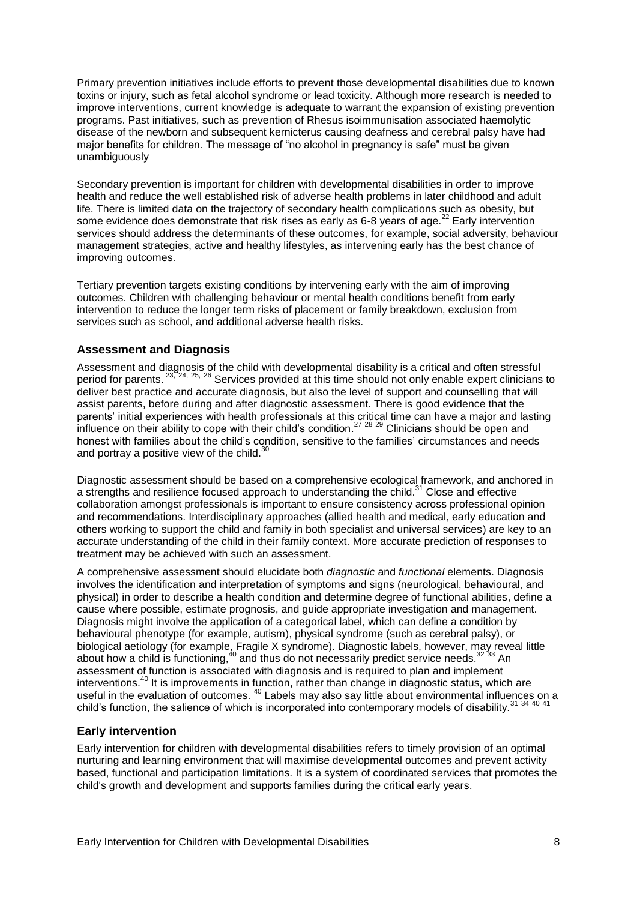Primary prevention initiatives include efforts to prevent those developmental disabilities due to known toxins or injury, such as fetal alcohol syndrome or lead toxicity. Although more research is needed to improve interventions, current knowledge is adequate to warrant the expansion of existing prevention programs. Past initiatives, such as prevention of Rhesus isoimmunisation associated haemolytic disease of the newborn and subsequent kernicterus causing deafness and cerebral palsy have had major benefits for children. The message of "no alcohol in pregnancy is safe" must be given unambiguously

Secondary prevention is important for children with developmental disabilities in order to improve health and reduce the well established risk of adverse health problems in later childhood and adult life. There is limited data on the trajectory of secondary health complications such as obesity, but some evidence does demonstrate that risk rises as early as 6-8 years of age.<sup>22</sup> Early intervention services should address the determinants of these outcomes, for example, social adversity, behaviour management strategies, active and healthy lifestyles, as intervening early has the best chance of improving outcomes.

Tertiary prevention targets existing conditions by intervening early with the aim of improving outcomes. Children with challenging behaviour or mental health conditions benefit from early intervention to reduce the longer term risks of placement or family breakdown, exclusion from services such as school, and additional adverse health risks.

#### **Assessment and Diagnosis**

Assessment and diagnosis of the child with developmental disability is a critical and often stressful period for parents. <sup>23, 24, 25, 26</sup> Services provided at this time should not only enable expert clinicians to deliver best practice and accurate diagnosis, but also the level of support and counselling that will assist parents, before during and after diagnostic assessment. There is good evidence that the parents' initial experiences with health professionals at this critical time can have a major and lasting influence on their ability to cope with their child's condition.<sup>27 28 29</sup> Clinicians should be open and honest with families about the child's condition, sensitive to the families' circumstances and needs and portray a positive view of the child.<sup>30</sup>

<span id="page-7-0"></span>Diagnostic assessment should be based on a comprehensive ecological framework, and anchored in a strengths and resilience focused approach to understanding the child.<sup>31</sup> Close and effective collaboration amongst professionals is important to ensure consistency across professional opinion and recommendations. Interdisciplinary approaches (allied health and medical, early education and others working to support the child and family in both specialist and universal services) are key to an accurate understanding of the child in their family context. More accurate prediction of responses to treatment may be achieved with such an assessment.

A comprehensive assessment should elucidate both *diagnostic* and *functional* elements. Diagnosis involves the identification and interpretation of symptoms and signs (neurological, behavioural, and physical) in order to describe a health condition and determine degree of functional abilities, define a cause where possible, estimate prognosis, and guide appropriate investigation and management. Diagnosis might involve the application of a categorical label, which can define a condition by behavioural phenotype (for example, autism), physical syndrome (such as cerebral palsy), or biological aetiology (for example, Fragile X syndrome). Diagnostic labels, however, may reveal little about how a child is functioning,<sup>[40](#page-9-0)</sup> and thus do not necessarily predict service needs.<sup>32</sup> 33 An assessment of function is associated with diagnosis and is required to plan and implement interventions.<sup>[40](#page-9-0)</sup> It is improvements in function, rather than change in diagnostic status, which are useful in the evaluation of outcomes. <sup>[40](#page-9-0)</sup> Labels may also say little about environmental influences on a child's function, the salience of which is incorporated into contemporary models of disability.<sup>[31](#page-7-0)</sup> 34 [40](#page-9-0) [41](#page-9-1)

#### **Early intervention**

Early intervention for children with developmental disabilities refers to timely provision of an optimal nurturing and learning environment that will maximise developmental outcomes and prevent activity based, functional and participation limitations. It is a system of coordinated services that promotes the child's growth and development and supports families during the critical early years.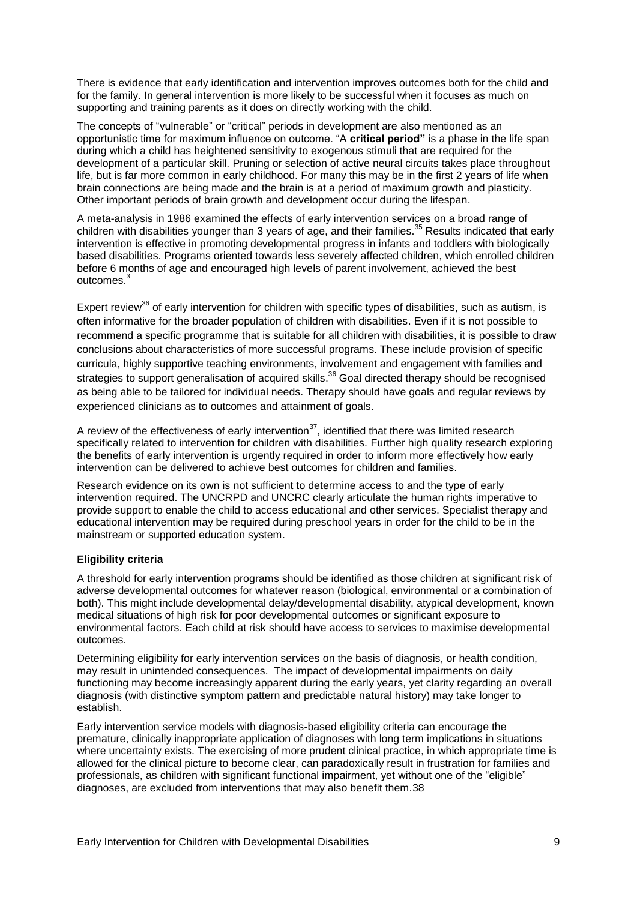There is evidence that early identification and intervention improves outcomes both for the child and for the family. In general intervention is more likely to be successful when it focuses as much on supporting and training parents as it does on directly working with the child.

The concepts of "vulnerable" or "critical" periods in development are also mentioned as an opportunistic time for maximum influence on outcome. "A **critical period"** is a phase in the life span during which a child has heightened sensitivity to exogenous stimuli that are required for the development of a particular skill. Pruning or selection of active neural circuits takes place throughout life, but is far more common in early childhood. For many this may be in the first 2 years of life when brain connections are being made and the brain is at a period of maximum growth and plasticity. Other important periods of brain growth and development occur during the lifespan.

A meta-analysis in 1986 examined the effects of early intervention services on a broad range of children with disabilities younger than 3 years of age, and their families.<sup>35</sup> Results indicated that early intervention is effective in promoting developmental progress in infants and toddlers with biologically based disabilities. Programs oriented towards less severely affected children, which enrolled children before 6 months of age and encouraged high levels of parent involvement, achieved the best outcomes<sup>3</sup>

<span id="page-8-0"></span>Expert review<sup>36</sup> of early intervention for children with specific types of disabilities, such as autism, is often informative for the broader population of children with disabilities. Even if it is not possible to recommend a specific programme that is suitable for all children with disabilities, it is possible to draw conclusions about characteristics of more successful programs. These include provision of specific curricula, highly supportive teaching environments, involvement and engagement with families and strategies to support generalisation of acquired skills.<sup>[36](#page-8-0)</sup> Goal directed therapy should be recognised as being able to be tailored for individual needs. Therapy should have goals and regular reviews by experienced clinicians as to outcomes and attainment of goals.

<span id="page-8-1"></span>A review of the effectiveness of early intervention<sup>37</sup>, identified that there was limited research specifically related to intervention for children with disabilities. Further high quality research exploring the benefits of early intervention is urgently required in order to inform more effectively how early intervention can be delivered to achieve best outcomes for children and families.

Research evidence on its own is not sufficient to determine access to and the type of early intervention required. The UNCRPD and UNCRC clearly articulate the human rights imperative to provide support to enable the child to access educational and other services. Specialist therapy and educational intervention may be required during preschool years in order for the child to be in the mainstream or supported education system.

#### **Eligibility criteria**

A threshold for early intervention programs should be identified as those children at significant risk of adverse developmental outcomes for whatever reason (biological, environmental or a combination of both). This might include developmental delay/developmental disability, atypical development, known medical situations of high risk for poor developmental outcomes or significant exposure to environmental factors. Each child at risk should have access to services to maximise developmental outcomes.

Determining eligibility for early intervention services on the basis of diagnosis, or health condition, may result in unintended consequences. The impact of developmental impairments on daily functioning may become increasingly apparent during the early years, yet clarity regarding an overall diagnosis (with distinctive symptom pattern and predictable natural history) may take longer to establish.

Early intervention service models with diagnosis-based eligibility criteria can encourage the premature, clinically inappropriate application of diagnoses with long term implications in situations where uncertainty exists. The exercising of more prudent clinical practice, in which appropriate time is allowed for the clinical picture to become clear, can paradoxically result in frustration for families and professionals, as children with significant functional impairment, yet without one of the "eligible" diagnoses, are excluded from interventions that may also benefit them.38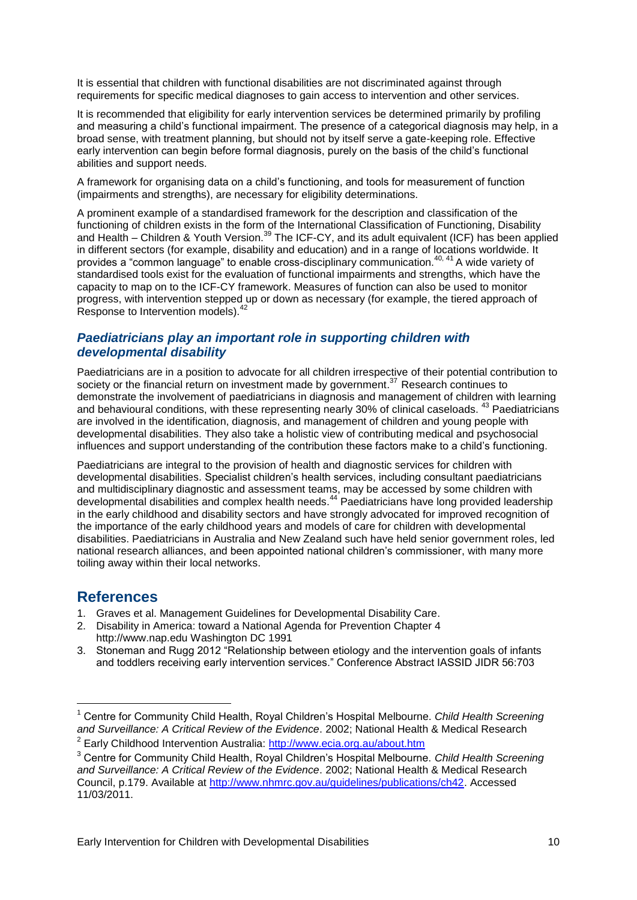It is essential that children with functional disabilities are not discriminated against through requirements for specific medical diagnoses to gain access to intervention and other services.

It is recommended that eligibility for early intervention services be determined primarily by profiling and measuring a child's functional impairment. The presence of a categorical diagnosis may help, in a broad sense, with treatment planning, but should not by itself serve a gate-keeping role. Effective early intervention can begin before formal diagnosis, purely on the basis of the child's functional abilities and support needs.

A framework for organising data on a child's functioning, and tools for measurement of function (impairments and strengths), are necessary for eligibility determinations.

<span id="page-9-1"></span><span id="page-9-0"></span>A prominent example of a standardised framework for the description and classification of the functioning of children exists in the form of the International Classification of Functioning, Disability and Health – Children & Youth Version.<sup>39</sup> The ICF-CY, and its adult equivalent (ICF) has been applied in different sectors (for example, disability and education) and in a range of locations worldwide. It provides a "common language" to enable cross-disciplinary communication.40, 41 A wide variety of standardised tools exist for the evaluation of functional impairments and strengths, which have the capacity to map on to the ICF-CY framework. Measures of function can also be used to monitor progress, with intervention stepped up or down as necessary (for example, the tiered approach of Response to Intervention models).<sup>42</sup>

#### *Paediatricians play an important role in supporting children with developmental disability*

Paediatricians are in a position to advocate for all children irrespective of their potential contribution to society or the financial return on investment made by government.<sup>37</sup> Research continues to demonstrate the involvement of paediatricians in diagnosis and management of children with learning and behavioural conditions, with these representing nearly 30% of clinical caseloads.<sup>43</sup> Paediatricians are involved in the identification, diagnosis, and management of children and young people with developmental disabilities. They also take a holistic view of contributing medical and psychosocial influences and support understanding of the contribution these factors make to a child's functioning.

Paediatricians are integral to the provision of health and diagnostic services for children with developmental disabilities. Specialist children's health services, including consultant paediatricians and multidisciplinary diagnostic and assessment teams, may be accessed by some children with developmental disabilities and complex health needs.<sup>44</sup> Paediatricians have long provided leadership in the early childhood and disability sectors and have strongly advocated for improved recognition of the importance of the early childhood years and models of care for children with developmental disabilities. Paediatricians in Australia and New Zealand such have held senior government roles, led national research alliances, and been appointed national children's commissioner, with many more toiling away within their local networks.

#### **References**

1

- 1. Graves et al. Management Guidelines for Developmental Disability Care.
- 2. Disability in America: toward a National Agenda for Prevention Chapter 4 [http://www.nap.edu](http://www.nap.edu/) Washington DC 1991
- 3. Stoneman and Rugg 2012 "Relationship between etiology and the intervention goals of infants and toddlers receiving early intervention services." Conference Abstract IASSID JIDR 56:703

<sup>1</sup> Centre for Community Child Health, Royal Children's Hospital Melbourne. *Child Health Screening and Surveillance: A Critical Review of the Evidence*. 2002; National Health & Medical Research <sup>2</sup> Early Childhood Intervention Australia:<http://www.ecia.org.au/about.htm>

<sup>3</sup> Centre for Community Child Health, Royal Children's Hospital Melbourne. *Child Health Screening and Surveillance: A Critical Review of the Evidence*. 2002; National Health & Medical Research Council, p.179. Available at [http://www.nhmrc.gov.au/guidelines/publications/ch42.](http://www.nhmrc.gov.au/guidelines/publications/ch42) Accessed 11/03/2011.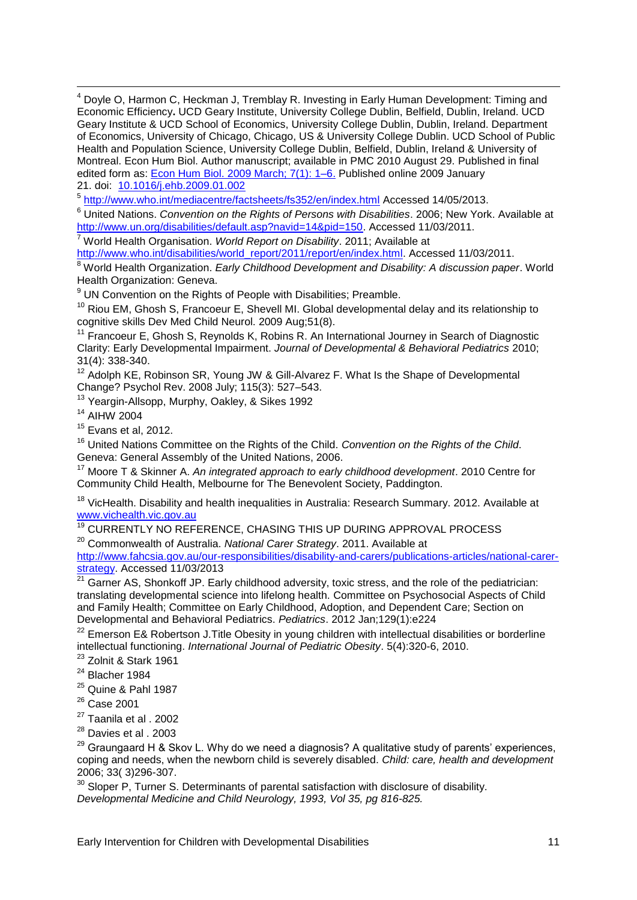<sup>4</sup> Dovle O, Harmon C, Heckman J, Tremblay R. Investing in Early Human Development: Timing and Economic Efficiency**.** UCD Geary Institute, University College Dublin, Belfield, Dublin, Ireland. UCD Geary Institute & UCD School of Economics, University College Dublin, Dublin, Ireland. Department of Economics, University of Chicago, Chicago, US & University College Dublin. UCD School of Public Health and Population Science, University College Dublin, Belfield, Dublin, Ireland & University of Montreal. Econ Hum Biol. Author manuscript; available in PMC 2010 August 29. Published in final edited form as: [Econ Hum Biol.](http://www.ncbi.nlm.nih.gov/entrez/eutils/elink.fcgi?dbfrom=pubmed&retmode=ref&cmd=prlinks&id=19213617) 2009 March; 7(1): 1–6. Published online 2009 January 21. doi: [10.1016/j.ehb.2009.01.002](http://dx.doi.org/10.1016%2Fj.ehb.2009.01.002)

<sup>5</sup> <http://www.who.int/mediacentre/factsheets/fs352/en/index.html> Accessed 14/05/2013.

<sup>6</sup> United Nations. *Convention on the Rights of Persons with Disabilities*. 2006; New York. Available at [http://www.un.org/disabilities/default.asp?navid=14&pid=150.](http://www.un.org/disabilities/default.asp?navid=14&pid=150) Accessed 11/03/2011.

<sup>7</sup> World Health Organisation. *World Report on Disability*. 2011; Available at

[http://www.who.int/disabilities/world\\_report/2011/report/en/index.html.](http://www.who.int/disabilities/world_report/2011/report/en/index.html) Accessed 11/03/2011.

<sup>8</sup> World Health Organization. *Early Childhood Development and Disability: A discussion paper*. World Health Organization: Geneva.

<sup>9</sup> UN Convention on the Rights of People with Disabilities; Preamble.

 $10$  Riou EM, Ghosh S, Francoeur E, Shevell MI, Global developmental delay and its relationship to cognitive skills Dev Med Child Neurol. 2009 Aug;51(8).

<sup>11</sup> Francoeur E, Ghosh S, Reynolds K, Robins R, An International Journey in Search of Diagnostic Clarity: Early Developmental Impairment. *Journal of Developmental & Behavioral Pediatrics* 2010; 31(4): 338-340.

<sup>12</sup> Adolph KE, Robinson SR, Young JW & Gill-Alvarez F. What Is the Shape of Developmental Change? Psychol Rev. 2008 July; 115(3): 527–543.

<sup>13</sup> Yeargin-Allsopp, Murphy, Oakley, & Sikes 1992

<sup>14</sup> AIHW 2004

1

 $15$  Evans et al, 2012.

<sup>16</sup> United Nations Committee on the Rights of the Child. *Convention on the Rights of the Child*. Geneva: General Assembly of the United Nations, 2006.

<sup>17</sup> Moore T & Skinner A. *An integrated approach to early childhood development*. 2010 Centre for Community Child Health, Melbourne for The Benevolent Society, Paddington.

<sup>18</sup> VicHealth. Disability and health inequalities in Australia: Research Summary. 2012. Available at [www.vichealth.vic.gov.au](http://www.vichealth.vic.gov.au/)

<sup>19</sup> CURRENTLY NO REFERENCE, CHASING THIS UP DURING APPROVAL PROCESS

<sup>20</sup> Commonwealth of Australia. *National Carer Strategy*. 2011. Available at

[http://www.fahcsia.gov.au/our-responsibilities/disability-and-carers/publications-articles/national-carer](http://www.fahcsia.gov.au/our-responsibilities/disability-and-carers/publications-articles/national-carer-strategy)[strategy.](http://www.fahcsia.gov.au/our-responsibilities/disability-and-carers/publications-articles/national-carer-strategy) Accessed 11/03/2013

<sup>21</sup> Garner AS, Shonkoff JP. Early childhood adversity, toxic stress, and the role of the pediatrician: translating developmental science into lifelong health. Committee on Psychosocial Aspects of Child and Family Health; Committee on Early Childhood, Adoption, and Dependent Care; Section on Developmental and Behavioral Pediatrics. *Pediatrics*. 2012 Jan;129(1):e224

<sup>22</sup> Emerson E& Robertson J. Title Obesity in young children with intellectual disabilities or borderline intellectual functioning. *International Journal of Pediatric Obesity*. 5(4):320-6, 2010.

<sup>23</sup> Zolnit & Stark 1961

 $24$  Blacher 1984

- <sup>25</sup> Quine & Pahl 1987
- <sup>26</sup> Case 2001
- <sup>27</sup> Taanila et al . 2002
- <sup>28</sup> Davies et al . 2003

 $^{29}$  Graungaard H & Skov L. Why do we need a diagnosis? A qualitative study of parents' experiences, coping and needs, when the newborn child is severely disabled. *Child: care, health and development* 2006; 33( 3)296-307.

 $30$  Sloper P. Turner S. Determinants of parental satisfaction with disclosure of disability. *Developmental Medicine and Child Neurology, 1993, Vol 35, pg 816-825.*